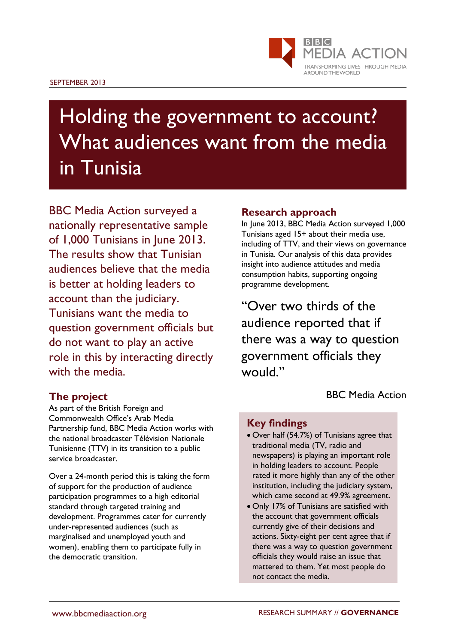

# Holding the government to account? What audiences want from the media in Tunisia

BBC Media Action surveyed a nationally representative sample of 1,000 Tunisians in June 2013. The results show that Tunisian audiences believe that the media is better at holding leaders to account than the judiciary. Tunisians want the media to question government officials but do not want to play an active role in this by interacting directly with the media.

#### **Research approach** In June 2013, BBC Media Action surveyed 1,000

Tunisians aged 15+ about their media use, including of TTV, and their views on governance in Tunisia. Our analysis of this data provides insight into audience attitudes and media consumption habits, supporting ongoing programme development.

"Over two thirds of the audience reported that if there was a way to question government officials they would."

BBC Media Action

## **The project**

As part of the British Foreign and Commonwealth Office's Arab Media Partnership fund, BBC Media Action works with the national broadcaster Télévision Nationale Tunisienne (TTV) in its transition to a public service broadcaster.

Over a 24-month period this is taking the form of support for the production of audience participation programmes to a high editorial standard through targeted training and development. Programmes cater for currently under-represented audiences (such as marginalised and unemployed youth and women), enabling them to participate fully in the democratic transition.

## **Key findings**

- Over half (54.7%) of Tunisians agree that traditional media (TV, radio and newspapers) is playing an important role in holding leaders to account. People rated it more highly than any of the other institution, including the judiciary system, which came second at 49.9% agreement.
- Only 17% of Tunisians are satisfied with the account that government officials currently give of their decisions and actions. Sixty-eight per cent agree that if there was a way to question government officials they would raise an issue that mattered to them. Yet most people do not contact the media.